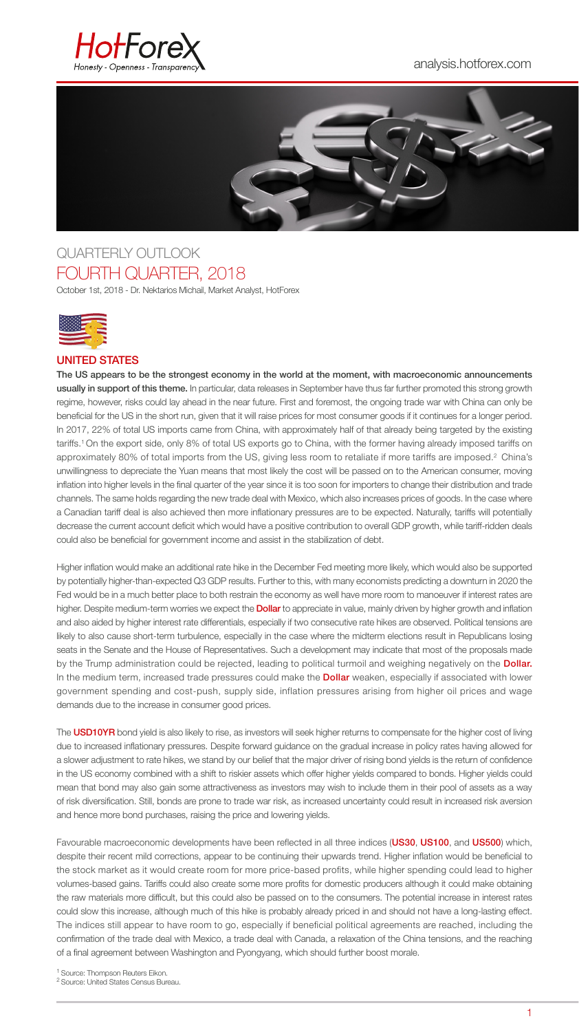

### analysis.hotforex.com



#### UNITED STATES

The US appears to be the strongest economy in the world at the moment, with macroeconomic announcements usually in support of this theme. In particular, data releases in September have thus far further promoted this strong growth regime, however, risks could lay ahead in the near future. First and foremost, the ongoing trade war with China can only be beneficial for the US in the short run, given that it will raise prices for most consumer goods if it continues for a longer period. In 2017, 22% of total US imports came from China, with approximately half of that already being targeted by the existing tariffs.1 On the export side, only 8% of total US exports go to China, with the former having already imposed tariffs on approximately 80% of total imports from the US, giving less room to retaliate if more tariffs are imposed.<sup>2</sup> China's unwillingness to depreciate the Yuan means that most likely the cost will be passed on to the American consumer, moving inflation into higher levels in the final quarter of the year since it is too soon for importers to change their distribution and trade channels. The same holds regarding the new trade deal with Mexico, which also increases prices of goods. In the case where a Canadian tariff deal is also achieved then more inflationary pressures are to be expected. Naturally, tariffs will potentially decrease the current account deficit which would have a positive contribution to overall GDP growth, while tariff-ridden deals could also be beneficial for government income and assist in the stabilization of debt.

The USD10YR bond yield is also likely to rise, as investors will seek higher returns to compensate for the higher cost of living due to increased inflationary pressures. Despite forward guidance on the gradual increase in policy rates having allowed for a slower adjustment to rate hikes, we stand by our belief that the major driver of rising bond yields is the return of confidence in the US economy combined with a shift to riskier assets which offer higher yields compared to bonds. Higher yields could mean that bond may also gain some attractiveness as investors may wish to include them in their pool of assets as a way

Higher inflation would make an additional rate hike in the December Fed meeting more likely, which would also be supported by potentially higher-than-expected Q3 GDP results. Further to this, with many economists predicting a downturn in 2020 the Fed would be in a much better place to both restrain the economy as well have more room to manoeuver if interest rates are higher. Despite medium-term worries we expect the **Dollar** to appreciate in value, mainly driven by higher growth and inflation and also aided by higher interest rate differentials, especially if two consecutive rate hikes are observed. Political tensions are likely to also cause short-term turbulence, especially in the case where the midterm elections result in Republicans losing seats in the Senate and the House of Representatives. Such a development may indicate that most of the proposals made by the Trump administration could be rejected, leading to political turmoil and weighing negatively on the **Dollar.** In the medium term, increased trade pressures could make the **Dollar** weaken, especially if associated with lower government spending and cost-push, supply side, inflation pressures arising from higher oil prices and wage demands due to the increase in consumer good prices.

Favourable macroeconomic developments have been reflected in all three indices (US30, US100, and US500) which, despite their recent mild corrections, appear to be continuing their upwards trend. Higher inflation would be beneficial to the stock market as it would create room for more price-based profits, while higher spending could lead to higher volumes-based gains. Tariffs could also create some more profits for domestic producers although it could make obtaining the raw materials more difficult, but this could also be passed on to the consumers. The potential increase in interest rates could slow this increase, although much of this hike is probably already priced in and should not have a long-lasting effect. The indices still appear to have room to go, especially if beneficial political agreements are reached, including the confirmation of the trade deal with Mexico, a trade deal with Canada, a relaxation of the China tensions, and the reaching of a final agreement between Washington and Pyongyang, which should further boost morale.

<sup>1</sup> Source: Thompson Reuters Eikon. 2 Source: United States Census Bureau.

of risk diversification. Still, bonds are prone to trade war risk, as increased uncertainty could result in increased risk aversion and hence more bond purchases, raising the price and lowering yields.

October 1st, 2018 - Dr. Nektarios Michail, Market Analyst, HotForex

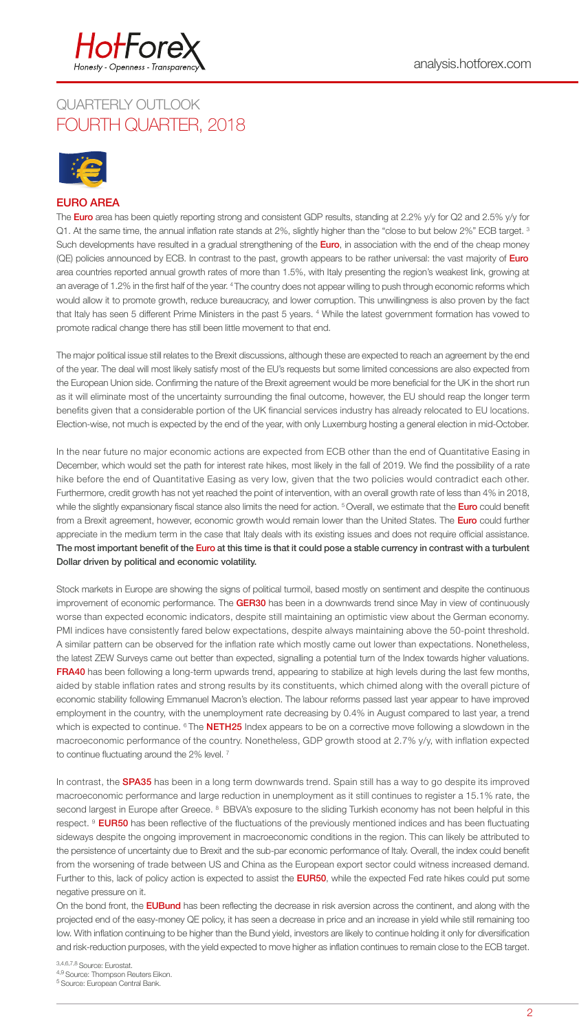



#### EURO AREA

The Euro area has been quietly reporting strong and consistent GDP results, standing at 2.2% y/y for Q2 and 2.5% y/y for Q1. At the same time, the annual inflation rate stands at 2%, slightly higher than the "close to but below 2%" ECB target. <sup>3</sup> Such developments have resulted in a gradual strengthening of the **Euro**, in association with the end of the cheap money (QE) policies announced by ECB. In contrast to the past, growth appears to be rather universal: the vast majority of Euro area countries reported annual growth rates of more than 1.5%, with Italy presenting the region's weakest link, growing at an average of 1.2% in the first half of the year. 4 The country does not appear willing to push through economic reforms which would allow it to promote growth, reduce bureaucracy, and lower corruption. This unwillingness is also proven by the fact that Italy has seen 5 different Prime Ministers in the past 5 years. 4 While the latest government formation has vowed to promote radical change there has still been little movement to that end.

The major political issue still relates to the Brexit discussions, although these are expected to reach an agreement by the end of the year. The deal will most likely satisfy most of the EU's requests but some limited concessions are also expected from the European Union side. Confirming the nature of the Brexit agreement would be more beneficial for the UK in the short run as it will eliminate most of the uncertainty surrounding the final outcome, however, the EU should reap the longer term benefits given that a considerable portion of the UK financial services industry has already relocated to EU locations. Election-wise, not much is expected by the end of the year, with only Luxemburg hosting a general election in mid-October.

In contrast, the SPA35 has been in a long term downwards trend. Spain still has a way to go despite its improved macroeconomic performance and large reduction in unemployment as it still continues to register a 15.1% rate, the

In the near future no major economic actions are expected from ECB other than the end of Quantitative Easing in December, which would set the path for interest rate hikes, most likely in the fall of 2019. We find the possibility of a rate hike before the end of Quantitative Easing as very low, given that the two policies would contradict each other. Furthermore, credit growth has not yet reached the point of intervention, with an overall growth rate of less than 4% in 2018, while the slightly expansionary fiscal stance also limits the need for action. <sup>5</sup> Overall, we estimate that the **Euro** could benefit from a Brexit agreement, however, economic growth would remain lower than the United States. The Euro could further appreciate in the medium term in the case that Italy deals with its existing issues and does not require official assistance. The most important benefit of the Euro at this time is that it could pose a stable currency in contrast with a turbulent Dollar driven by political and economic volatility.

second largest in Europe after Greece. <sup>8</sup> BBVA's exposure to the sliding Turkish economy has not been helpful in this respect. <sup>9</sup> EUR50 has been reflective of the fluctuations of the previously mentioned indices and has been fluctuating sideways despite the ongoing improvement in macroeconomic conditions in the region. This can likely be attributed to the persistence of uncertainty due to Brexit and the sub-par economic performance of Italy. Overall, the index could benefit from the worsening of trade between US and China as the European export sector could witness increased demand. Further to this, lack of policy action is expected to assist the **EUR50**, while the expected Fed rate hikes could put some negative pressure on it.

On the bond front, the **EUBund** has been reflecting the decrease in risk aversion across the continent, and along with the projected end of the easy-money QE policy, it has seen a decrease in price and an increase in yield while still remaining too low. With inflation continuing to be higher than the Bund yield, investors are likely to continue holding it only for diversification and risk-reduction purposes, with the yield expected to move higher as inflation continues to remain close to the ECB target.

Stock markets in Europe are showing the signs of political turmoil, based mostly on sentiment and despite the continuous improvement of economic performance. The GER30 has been in a downwards trend since May in view of continuously worse than expected economic indicators, despite still maintaining an optimistic view about the German economy. PMI indices have consistently fared below expectations, despite always maintaining above the 50-point threshold. A similar pattern can be observed for the inflation rate which mostly came out lower than expectations. Nonetheless, the latest ZEW Surveys came out better than expected, signalling a potential turn of the Index towards higher valuations. FRA40 has been following a long-term upwards trend, appearing to stabilize at high levels during the last few months, aided by stable inflation rates and strong results by its constituents, which chimed along with the overall picture of economic stability following Emmanuel Macron's election. The labour reforms passed last year appear to have improved employment in the country, with the unemployment rate decreasing by 0.4% in August compared to last year, a trend which is expected to continue. <sup>6</sup> The **NETH25** Index appears to be on a corrective move following a slowdown in the macroeconomic performance of the country. Nonetheless, GDP growth stood at 2.7% y/y, with inflation expected to continue fluctuating around the 2% level. 7

3,4,6,7,8 Source: Eurostat. 4,9 Source: Thompson Reuters Eikon. 5 Source: European Central Bank.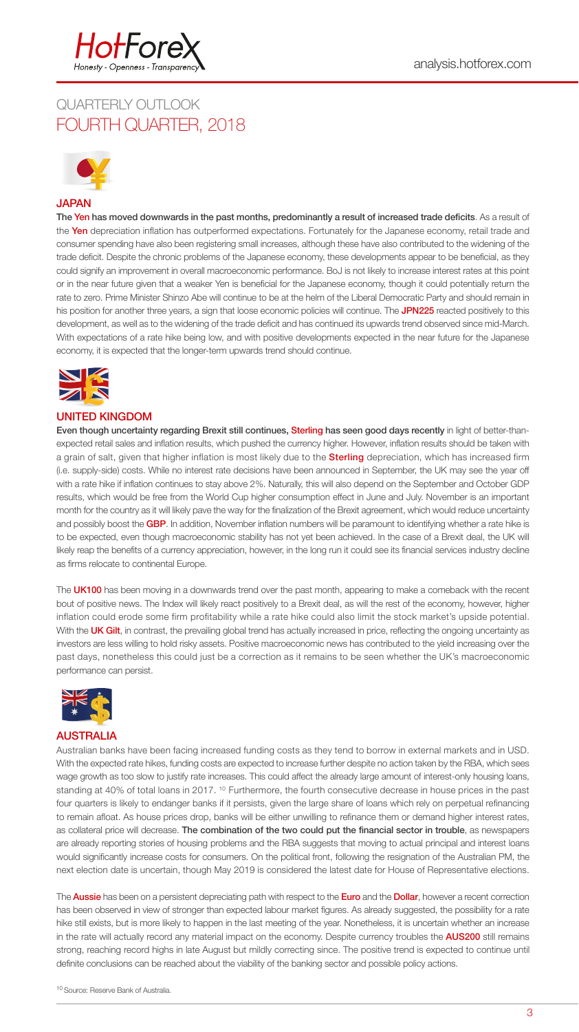



#### JAPAN

The Yen has moved downwards in the past months, predominantly a result of increased trade deficits. As a result of the Yen depreciation inflation has outperformed expectations. Fortunately for the Japanese economy, retail trade and consumer spending have also been registering small increases, although these have also contributed to the widening of the trade deficit. Despite the chronic problems of the Japanese economy, these developments appear to be beneficial, as they could signify an improvement in overall macroeconomic performance. BoJ is not likely to increase interest rates at this point or in the near future given that a weaker Yen is beneficial for the Japanese economy, though it could potentially return the rate to zero. Prime Minister Shinzo Abe will continue to be at the helm of the Liberal Democratic Party and should remain in his position for another three years, a sign that loose economic policies will continue. The JPN225 reacted positively to this development, as well as to the widening of the trade deficit and has continued its upwards trend observed since mid-March. With expectations of a rate hike being low, and with positive developments expected in the near future for the Japanese economy, it is expected that the longer-term upwards trend should continue.



Even though uncertainty regarding Brexit still continues, Sterling has seen good days recently in light of better-thanexpected retail sales and inflation results, which pushed the currency higher. However, inflation results should be taken with a grain of salt, given that higher inflation is most likely due to the **Sterling** depreciation, which has increased firm (i.e. supply-side) costs. While no interest rate decisions have been announced in September, the UK may see the year off with a rate hike if inflation continues to stay above 2%. Naturally, this will also depend on the September and October GDP results, which would be free from the World Cup higher consumption effect in June and July. November is an important month for the country as it will likely pave the way for the finalization of the Brexit agreement, which would reduce uncertainty and possibly boost the GBP. In addition, November inflation numbers will be paramount to identifying whether a rate hike is to be expected, even though macroeconomic stability has not yet been achieved. In the case of a Brexit deal, the UK will likely reap the benefits of a currency appreciation, however, in the long run it could see its financial services industry decline as firms relocate to continental Europe.

#### UNITED KINGDOM

The UK100 has been moving in a downwards trend over the past month, appearing to make a comeback with the recent bout of positive news. The Index will likely react positively to a Brexit deal, as will the rest of the economy, however, higher inflation could erode some firm profitability while a rate hike could also limit the stock market's upside potential. With the UK Gilt, in contrast, the prevailing global trend has actually increased in price, reflecting the ongoing uncertainty as investors are less willing to hold risky assets. Positive macroeconomic news has contributed to the yield increasing over the past days, nonetheless this could just be a correction as it remains to be seen whether the UK's macroeconomic performance can persist.



The **Aussie** has been on a persistent depreciating path with respect to the **Euro** and the **Dollar**, however a recent correction has been observed in view of stronger than expected labour market figures. As already suggested, the possibility for a rate hike still exists, but is more likely to happen in the last meeting of the year. Nonetheless, it is uncertain whether an increase in the rate will actually record any material impact on the economy. Despite currency troubles the AUS200 still remains strong, reaching record highs in late August but mildly correcting since. The positive trend is expected to continue until definite conclusions can be reached about the viability of the banking sector and possible policy actions.

<sup>10</sup> Source: Reserve Bank of Australia.

AUSTRALIA

Australian banks have been facing increased funding costs as they tend to borrow in external markets and in USD. With the expected rate hikes, funding costs are expected to increase further despite no action taken by the RBA, which sees wage growth as too slow to justify rate increases. This could affect the already large amount of interest-only housing loans, standing at 40% of total loans in 2017. <sup>10</sup> Furthermore, the fourth consecutive decrease in house prices in the past four quarters is likely to endanger banks if it persists, given the large share of loans which rely on perpetual refinancing to remain afloat. As house prices drop, banks will be either unwilling to refinance them or demand higher interest rates, as collateral price will decrease. The combination of the two could put the financial sector in trouble, as newspapers are already reporting stories of housing problems and the RBA suggests that moving to actual principal and interest loans would significantly increase costs for consumers. On the political front, following the resignation of the Australian PM, the next election date is uncertain, though May 2019 is considered the latest date for House of Representative elections.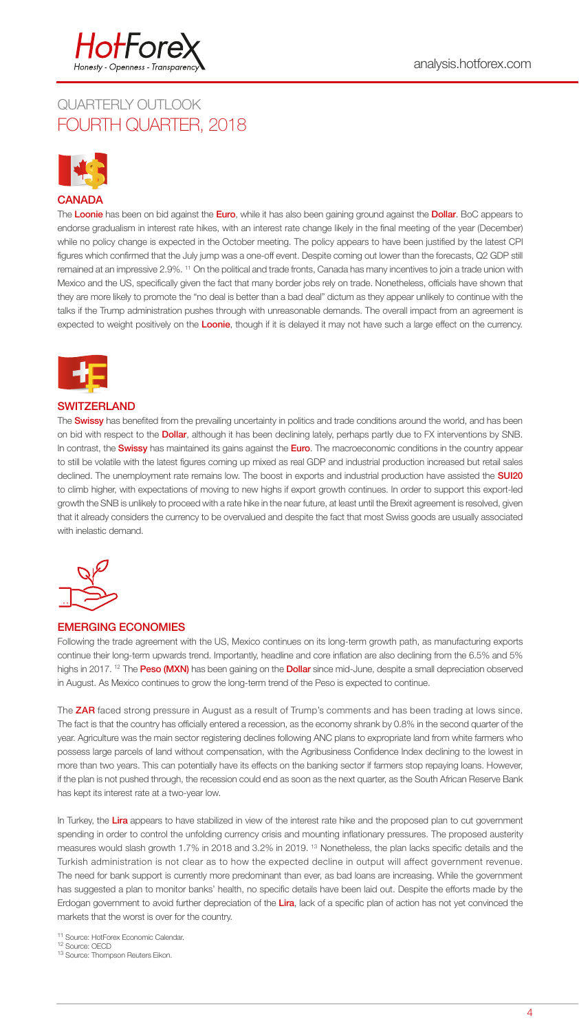

### **CANADA**

The Loonie has been on bid against the Euro, while it has also been gaining ground against the Dollar. BoC appears to endorse gradualism in interest rate hikes, with an interest rate change likely in the final meeting of the year (December) while no policy change is expected in the October meeting. The policy appears to have been justified by the latest CPI figures which confirmed that the July jump was a one-off event. Despite coming out lower than the forecasts, Q2 GDP still remained at an impressive 2.9%. 11 On the political and trade fronts, Canada has many incentives to join a trade union with Mexico and the US, specifically given the fact that many border jobs rely on trade. Nonetheless, officials have shown that they are more likely to promote the "no deal is better than a bad deal" dictum as they appear unlikely to continue with the talks if the Trump administration pushes through with unreasonable demands. The overall impact from an agreement is expected to weight positively on the Loonie, though if it is delayed it may not have such a large effect on the currency.





The Swissy has benefited from the prevailing uncertainty in politics and trade conditions around the world, and has been on bid with respect to the **Dollar**, although it has been declining lately, perhaps partly due to FX interventions by SNB. In contrast, the Swissy has maintained its gains against the Euro. The macroeconomic conditions in the country appear to still be volatile with the latest figures coming up mixed as real GDP and industrial production increased but retail sales declined. The unemployment rate remains low. The boost in exports and industrial production have assisted the SUI20 to climb higher, with expectations of moving to new highs if export growth continues. In order to support this export-led growth the SNB is unlikely to proceed with a rate hike in the near future, at least until the Brexit agreement is resolved, given that it already considers the currency to be overvalued and despite the fact that most Swiss goods are usually associated with inelastic demand.



### SWITZERLAND

The ZAR faced strong pressure in August as a result of Trump's comments and has been trading at lows since. The fact is that the country has officially entered a recession, as the economy shrank by 0.8% in the second quarter of the year. Agriculture was the main sector registering declines following ANC plans to expropriate land from white farmers who possess large parcels of land without compensation, with the Agribusiness Confidence Index declining to the lowest in more than two years. This can potentially have its effects on the banking sector if farmers stop repaying loans. However, if the plan is not pushed through, the recession could end as soon as the next quarter, as the South African Reserve Bank has kept its interest rate at a two-year low.

In Turkey, the Lira appears to have stabilized in view of the interest rate hike and the proposed plan to cut government spending in order to control the unfolding currency crisis and mounting inflationary pressures. The proposed austerity measures would slash growth 1.7% in 2018 and 3.2% in 2019. 13 Nonetheless, the plan lacks specific details and the Turkish administration is not clear as to how the expected decline in output will affect government revenue. The need for bank support is currently more predominant than ever, as bad loans are increasing. While the government has suggested a plan to monitor banks' health, no specific details have been laid out. Despite the efforts made by the Erdogan government to avoid further depreciation of the Lira, lack of a specific plan of action has not yet convinced the markets that the worst is over for the country.

### EMERGING ECONOMIES

Following the trade agreement with the US, Mexico continues on its long-term growth path, as manufacturing exports continue their long-term upwards trend. Importantly, headline and core inflation are also declining from the 6.5% and 5% highs in 2017. <sup>12</sup> The Peso (MXN) has been gaining on the Dollar since mid-June, despite a small depreciation observed in August. As Mexico continues to grow the long-term trend of the Peso is expected to continue.

11 Source: HotForex Economic Calendar. 12 Source: OECD 13 Source: Thompson Reuters Eikon.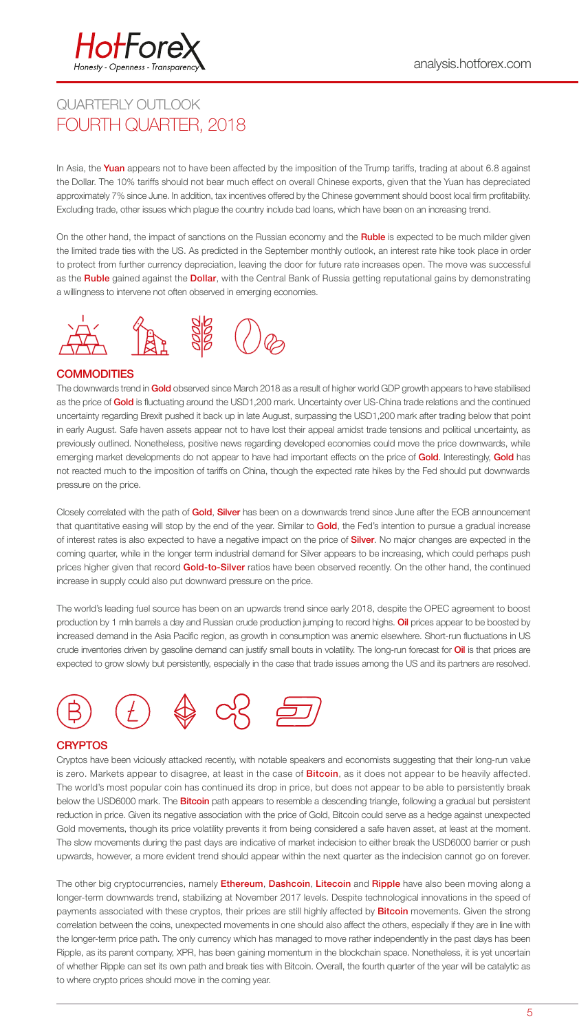

In Asia, the Yuan appears not to have been affected by the imposition of the Trump tariffs, trading at about 6.8 against the Dollar. The 10% tariffs should not bear much effect on overall Chinese exports, given that the Yuan has depreciated approximately 7% since June. In addition, tax incentives offered by the Chinese government should boost local firm profitability. Excluding trade, other issues which plague the country include bad loans, which have been on an increasing trend.

On the other hand, the impact of sanctions on the Russian economy and the **Ruble** is expected to be much milder given the limited trade ties with the US. As predicted in the September monthly outlook, an interest rate hike took place in order to protect from further currency depreciation, leaving the door for future rate increases open. The move was successful as the Ruble gained against the Dollar, with the Central Bank of Russia getting reputational gains by demonstrating a willingness to intervene not often observed in emerging economies.



### **COMMODITIES**

The downwards trend in Gold observed since March 2018 as a result of higher world GDP growth appears to have stabilised as the price of Gold is fluctuating around the USD1,200 mark. Uncertainty over US-China trade relations and the continued uncertainty regarding Brexit pushed it back up in late August, surpassing the USD1,200 mark after trading below that point in early August. Safe haven assets appear not to have lost their appeal amidst trade tensions and political uncertainty, as previously outlined. Nonetheless, positive news regarding developed economies could move the price downwards, while emerging market developments do not appear to have had important effects on the price of Gold. Interestingly, Gold has not reacted much to the imposition of tariffs on China, though the expected rate hikes by the Fed should put downwards pressure on the price.

Closely correlated with the path of Gold, Silver has been on a downwards trend since June after the ECB announcement that quantitative easing will stop by the end of the year. Similar to **Gold**, the Fed's intention to pursue a gradual increase of interest rates is also expected to have a negative impact on the price of **Silver**. No major changes are expected in the coming quarter, while in the longer term industrial demand for Silver appears to be increasing, which could perhaps push prices higher given that record Gold-to-Silver ratios have been observed recently. On the other hand, the continued increase in supply could also put downward pressure on the price.

The other big cryptocurrencies, namely **Ethereum, Dashcoin, Litecoin** and **Ripple** have also been moving along a longer-term downwards trend, stabilizing at November 2017 levels. Despite technological innovations in the speed of payments associated with these cryptos, their prices are still highly affected by **Bitcoin** movements. Given the strong correlation between the coins, unexpected movements in one should also affect the others, especially if they are in line with the longer-term price path. The only currency which has managed to move rather independently in the past days has been Ripple, as its parent company, XPR, has been gaining momentum in the blockchain space. Nonetheless, it is yet uncertain of whether Ripple can set its own path and break ties with Bitcoin. Overall, the fourth quarter of the year will be catalytic as to where crypto prices should move in the coming year.

The world's leading fuel source has been on an upwards trend since early 2018, despite the OPEC agreement to boost production by 1 mln barrels a day and Russian crude production jumping to record highs. **Oil** prices appear to be boosted by increased demand in the Asia Pacific region, as growth in consumption was anemic elsewhere. Short-run fluctuations in US crude inventories driven by gasoline demand can justify small bouts in volatility. The long-run forecast for *Oil* is that prices are expected to grow slowly but persistently, especially in the case that trade issues among the US and its partners are resolved.



### **CRYPTOS**

Cryptos have been viciously attacked recently, with notable speakers and economists suggesting that their long-run value is zero. Markets appear to disagree, at least in the case of **Bitcoin**, as it does not appear to be heavily affected. The world's most popular coin has continued its drop in price, but does not appear to be able to persistently break below the USD6000 mark. The **Bitcoin** path appears to resemble a descending triangle, following a gradual but persistent reduction in price. Given its negative association with the price of Gold, Bitcoin could serve as a hedge against unexpected Gold movements, though its price volatility prevents it from being considered a safe haven asset, at least at the moment. The slow movements during the past days are indicative of market indecision to either break the USD6000 barrier or push upwards, however, a more evident trend should appear within the next quarter as the indecision cannot go on forever.